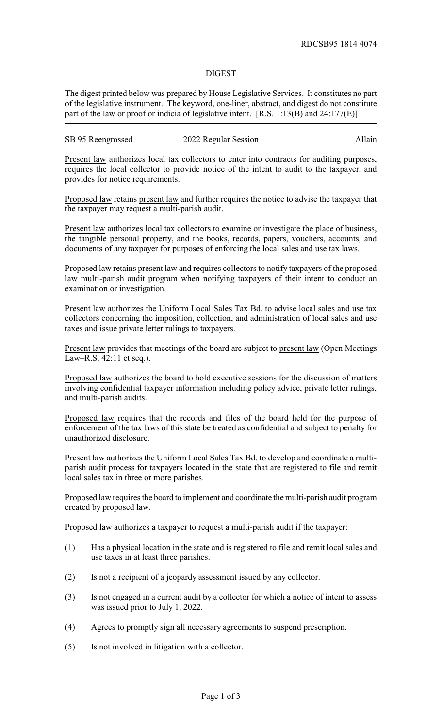## DIGEST

The digest printed below was prepared by House Legislative Services. It constitutes no part of the legislative instrument. The keyword, one-liner, abstract, and digest do not constitute part of the law or proof or indicia of legislative intent. [R.S. 1:13(B) and 24:177(E)]

| SB 95 Reengrossed | 2022 Regular Session | Allain |
|-------------------|----------------------|--------|
|-------------------|----------------------|--------|

Present law authorizes local tax collectors to enter into contracts for auditing purposes, requires the local collector to provide notice of the intent to audit to the taxpayer, and provides for notice requirements.

Proposed law retains present law and further requires the notice to advise the taxpayer that the taxpayer may request a multi-parish audit.

Present law authorizes local tax collectors to examine or investigate the place of business, the tangible personal property, and the books, records, papers, vouchers, accounts, and documents of any taxpayer for purposes of enforcing the local sales and use tax laws.

Proposed law retains present law and requires collectors to notify taxpayers of the proposed law multi-parish audit program when notifying taxpayers of their intent to conduct an examination or investigation.

Present law authorizes the Uniform Local Sales Tax Bd. to advise local sales and use tax collectors concerning the imposition, collection, and administration of local sales and use taxes and issue private letter rulings to taxpayers.

Present law provides that meetings of the board are subject to present law (Open Meetings Law–R.S. 42:11 et seq.).

Proposed law authorizes the board to hold executive sessions for the discussion of matters involving confidential taxpayer information including policy advice, private letter rulings, and multi-parish audits.

Proposed law requires that the records and files of the board held for the purpose of enforcement of the tax laws of this state be treated as confidential and subject to penalty for unauthorized disclosure.

Present law authorizes the Uniform Local Sales Tax Bd. to develop and coordinate a multiparish audit process for taxpayers located in the state that are registered to file and remit local sales tax in three or more parishes.

Proposed law requires the board to implement and coordinate the multi-parish audit program created by proposed law.

Proposed law authorizes a taxpayer to request a multi-parish audit if the taxpayer:

- (1) Has a physical location in the state and is registered to file and remit local sales and use taxes in at least three parishes.
- (2) Is not a recipient of a jeopardy assessment issued by any collector.
- (3) Is not engaged in a current audit by a collector for which a notice of intent to assess was issued prior to July 1, 2022.
- (4) Agrees to promptly sign all necessary agreements to suspend prescription.
- (5) Is not involved in litigation with a collector.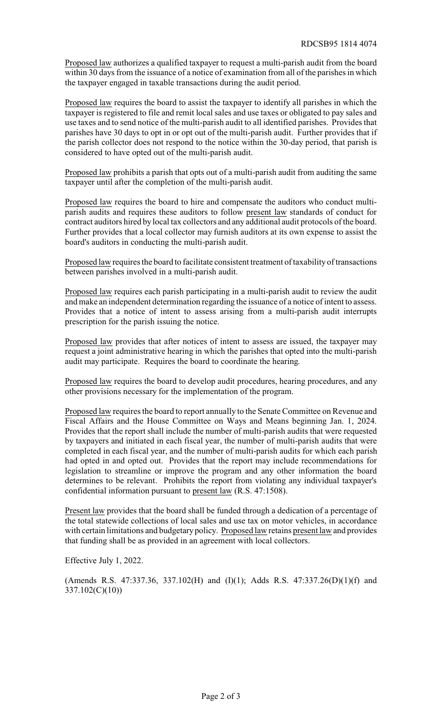Proposed law authorizes a qualified taxpayer to request a multi-parish audit from the board within 30 days from the issuance of a notice of examination from all of the parishes in which the taxpayer engaged in taxable transactions during the audit period.

Proposed law requires the board to assist the taxpayer to identify all parishes in which the taxpayer is registered to file and remit local sales and use taxes or obligated to pay sales and use taxes and to send notice of the multi-parish audit to all identified parishes. Provides that parishes have 30 days to opt in or opt out of the multi-parish audit. Further provides that if the parish collector does not respond to the notice within the 30-day period, that parish is considered to have opted out of the multi-parish audit.

Proposed law prohibits a parish that opts out of a multi-parish audit from auditing the same taxpayer until after the completion of the multi-parish audit.

Proposed law requires the board to hire and compensate the auditors who conduct multiparish audits and requires these auditors to follow present law standards of conduct for contract auditors hired by local tax collectors and any additional audit protocols of the board. Further provides that a local collector may furnish auditors at its own expense to assist the board's auditors in conducting the multi-parish audit.

Proposed law requires the board to facilitate consistent treatment of taxability of transactions between parishes involved in a multi-parish audit.

Proposed law requires each parish participating in a multi-parish audit to review the audit and make an independent determination regarding the issuance of a notice of intent to assess. Provides that a notice of intent to assess arising from a multi-parish audit interrupts prescription for the parish issuing the notice.

Proposed law provides that after notices of intent to assess are issued, the taxpayer may request a joint administrative hearing in which the parishes that opted into the multi-parish audit may participate. Requires the board to coordinate the hearing.

Proposed law requires the board to develop audit procedures, hearing procedures, and any other provisions necessary for the implementation of the program.

Proposed law requires the board to report annually to the Senate Committee on Revenue and Fiscal Affairs and the House Committee on Ways and Means beginning Jan. 1, 2024. Provides that the report shall include the number of multi-parish audits that were requested by taxpayers and initiated in each fiscal year, the number of multi-parish audits that were completed in each fiscal year, and the number of multi-parish audits for which each parish had opted in and opted out. Provides that the report may include recommendations for legislation to streamline or improve the program and any other information the board determines to be relevant. Prohibits the report from violating any individual taxpayer's confidential information pursuant to present law (R.S. 47:1508).

Present law provides that the board shall be funded through a dedication of a percentage of the total statewide collections of local sales and use tax on motor vehicles, in accordance with certain limitations and budgetary policy. Proposed law retains present law and provides that funding shall be as provided in an agreement with local collectors.

Effective July 1, 2022.

(Amends R.S. 47:337.36, 337.102(H) and (I)(1); Adds R.S. 47:337.26(D)(1)(f) and 337.102(C)(10))